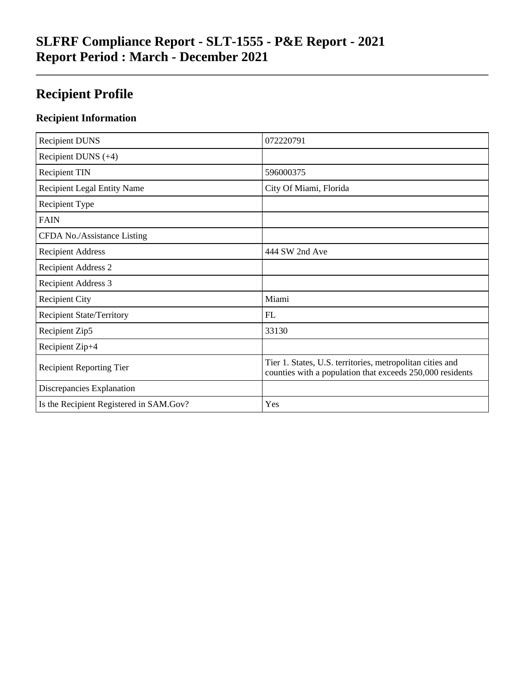# **SLFRF Compliance Report - SLT-1555 - P&E Report - 2021 Report Period : March - December 2021**

# **Recipient Profile**

### **Recipient Information**

| <b>Recipient DUNS</b>                   | 072220791                                                                                                              |
|-----------------------------------------|------------------------------------------------------------------------------------------------------------------------|
| Recipient DUNS $(+4)$                   |                                                                                                                        |
| <b>Recipient TIN</b>                    | 596000375                                                                                                              |
| <b>Recipient Legal Entity Name</b>      | City Of Miami, Florida                                                                                                 |
| Recipient Type                          |                                                                                                                        |
| <b>FAIN</b>                             |                                                                                                                        |
| CFDA No./Assistance Listing             |                                                                                                                        |
| <b>Recipient Address</b>                | 444 SW 2nd Ave                                                                                                         |
| <b>Recipient Address 2</b>              |                                                                                                                        |
| Recipient Address 3                     |                                                                                                                        |
| <b>Recipient City</b>                   | Miami                                                                                                                  |
| <b>Recipient State/Territory</b>        | FL                                                                                                                     |
| Recipient Zip5                          | 33130                                                                                                                  |
| Recipient Zip+4                         |                                                                                                                        |
| <b>Recipient Reporting Tier</b>         | Tier 1. States, U.S. territories, metropolitan cities and<br>counties with a population that exceeds 250,000 residents |
| Discrepancies Explanation               |                                                                                                                        |
| Is the Recipient Registered in SAM.Gov? | Yes                                                                                                                    |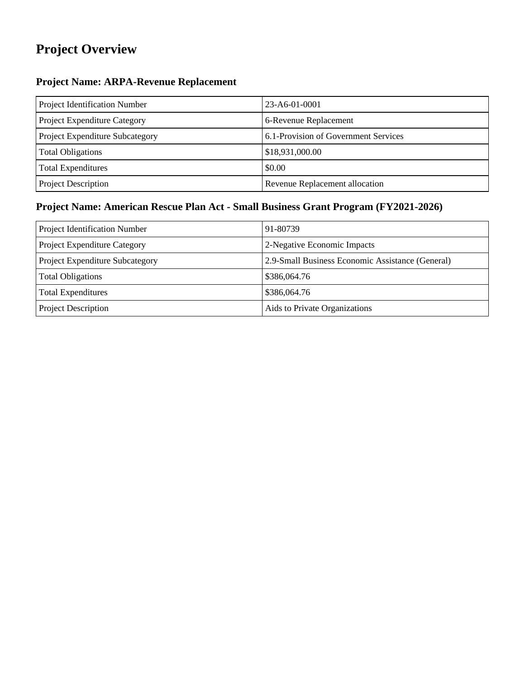# **Project Overview**

## **Project Name: ARPA-Revenue Replacement**

| Project Identification Number   | $23 - A6 - 01 - 0001$                |
|---------------------------------|--------------------------------------|
| Project Expenditure Category    | 6-Revenue Replacement                |
| Project Expenditure Subcategory | 6.1-Provision of Government Services |
| <b>Total Obligations</b>        | \$18,931,000.00                      |
| <b>Total Expenditures</b>       | \$0.00                               |
| Project Description             | Revenue Replacement allocation       |

## **Project Name: American Rescue Plan Act - Small Business Grant Program (FY2021-2026)**

| Project Identification Number   | 91-80739                                         |
|---------------------------------|--------------------------------------------------|
| Project Expenditure Category    | 2-Negative Economic Impacts                      |
| Project Expenditure Subcategory | 2.9-Small Business Economic Assistance (General) |
| <b>Total Obligations</b>        | \$386,064.76                                     |
| <b>Total Expenditures</b>       | \$386,064.76                                     |
| Project Description             | Aids to Private Organizations                    |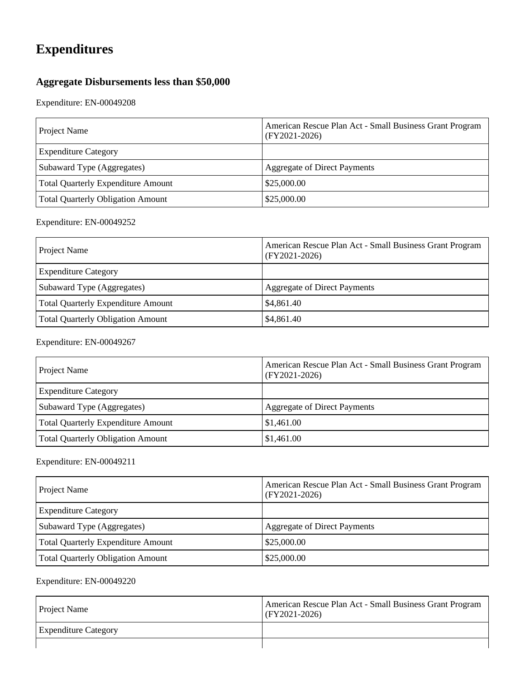# **Expenditures**

## **Aggregate Disbursements less than \$50,000**

Expenditure: EN-00049208

| Project Name                             | American Rescue Plan Act - Small Business Grant Program<br>$(FY2021-2026)$ |
|------------------------------------------|----------------------------------------------------------------------------|
| <b>Expenditure Category</b>              |                                                                            |
| Subaward Type (Aggregates)               | <b>Aggregate of Direct Payments</b>                                        |
| Total Quarterly Expenditure Amount       | \$25,000.00                                                                |
| <b>Total Quarterly Obligation Amount</b> | \$25,000.00                                                                |

#### Expenditure: EN-00049252

| <b>Project Name</b>                       | American Rescue Plan Act - Small Business Grant Program<br>$(FY2021-2026)$ |
|-------------------------------------------|----------------------------------------------------------------------------|
| <b>Expenditure Category</b>               |                                                                            |
| Subaward Type (Aggregates)                | Aggregate of Direct Payments                                               |
| <b>Total Quarterly Expenditure Amount</b> | \$4,861.40                                                                 |
| <b>Total Quarterly Obligation Amount</b>  | \$4,861.40                                                                 |

### Expenditure: EN-00049267

| Project Name                             | American Rescue Plan Act - Small Business Grant Program<br>$(FY2021-2026)$ |
|------------------------------------------|----------------------------------------------------------------------------|
| <b>Expenditure Category</b>              |                                                                            |
| Subaward Type (Aggregates)               | Aggregate of Direct Payments                                               |
| Total Quarterly Expenditure Amount       | \$1,461.00                                                                 |
| <b>Total Quarterly Obligation Amount</b> | \$1,461.00                                                                 |

### Expenditure: EN-00049211

| Project Name                              | American Rescue Plan Act - Small Business Grant Program<br>$(FY2021-2026)$ |
|-------------------------------------------|----------------------------------------------------------------------------|
| <b>Expenditure Category</b>               |                                                                            |
| Subaward Type (Aggregates)                | Aggregate of Direct Payments                                               |
| <b>Total Quarterly Expenditure Amount</b> | \$25,000.00                                                                |
| <b>Total Quarterly Obligation Amount</b>  | \$25,000.00                                                                |

| <b>Project Name</b>         | American Rescue Plan Act - Small Business Grant Program<br>$(FY2021-2026)$ |
|-----------------------------|----------------------------------------------------------------------------|
| <b>Expenditure Category</b> |                                                                            |
|                             |                                                                            |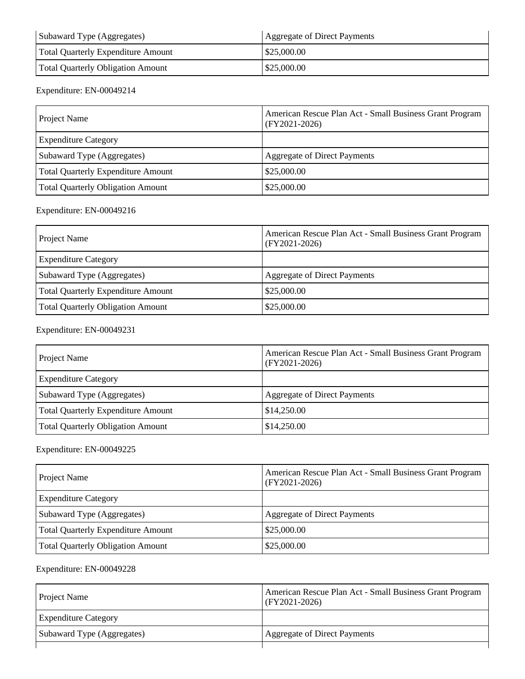| Subaward Type (Aggregates)               | Aggregate of Direct Payments |
|------------------------------------------|------------------------------|
| Total Quarterly Expenditure Amount       | \$25,000.00                  |
| <b>Total Quarterly Obligation Amount</b> | \$25,000.00                  |

### Expenditure: EN-00049214

| <b>Project Name</b>                       | American Rescue Plan Act - Small Business Grant Program<br>$(FY2021-2026)$ |
|-------------------------------------------|----------------------------------------------------------------------------|
| <b>Expenditure Category</b>               |                                                                            |
| Subaward Type (Aggregates)                | <b>Aggregate of Direct Payments</b>                                        |
| <b>Total Quarterly Expenditure Amount</b> | \$25,000.00                                                                |
| <b>Total Quarterly Obligation Amount</b>  | \$25,000.00                                                                |

### Expenditure: EN-00049216

| Project Name                             | American Rescue Plan Act - Small Business Grant Program<br>$(FY2021-2026)$ |
|------------------------------------------|----------------------------------------------------------------------------|
| <b>Expenditure Category</b>              |                                                                            |
| Subaward Type (Aggregates)               | <b>Aggregate of Direct Payments</b>                                        |
| Total Quarterly Expenditure Amount       | \$25,000.00                                                                |
| <b>Total Quarterly Obligation Amount</b> | \$25,000.00                                                                |

#### Expenditure: EN-00049231

| Project Name                              | American Rescue Plan Act - Small Business Grant Program<br>$(FY2021-2026)$ |
|-------------------------------------------|----------------------------------------------------------------------------|
| <b>Expenditure Category</b>               |                                                                            |
| Subaward Type (Aggregates)                | Aggregate of Direct Payments                                               |
| <b>Total Quarterly Expenditure Amount</b> | \$14,250.00                                                                |
| <b>Total Quarterly Obligation Amount</b>  | \$14,250.00                                                                |

### Expenditure: EN-00049225

| Project Name                              | American Rescue Plan Act - Small Business Grant Program<br>$(FY2021-2026)$ |
|-------------------------------------------|----------------------------------------------------------------------------|
| <b>Expenditure Category</b>               |                                                                            |
| Subaward Type (Aggregates)                | Aggregate of Direct Payments                                               |
| <b>Total Quarterly Expenditure Amount</b> | \$25,000.00                                                                |
| Total Quarterly Obligation Amount         | \$25,000.00                                                                |

| <b>Project Name</b>         | American Rescue Plan Act - Small Business Grant Program<br>$(FY2021-2026)$ |
|-----------------------------|----------------------------------------------------------------------------|
| <b>Expenditure Category</b> |                                                                            |
| Subaward Type (Aggregates)  | <b>Aggregate of Direct Payments</b>                                        |
|                             |                                                                            |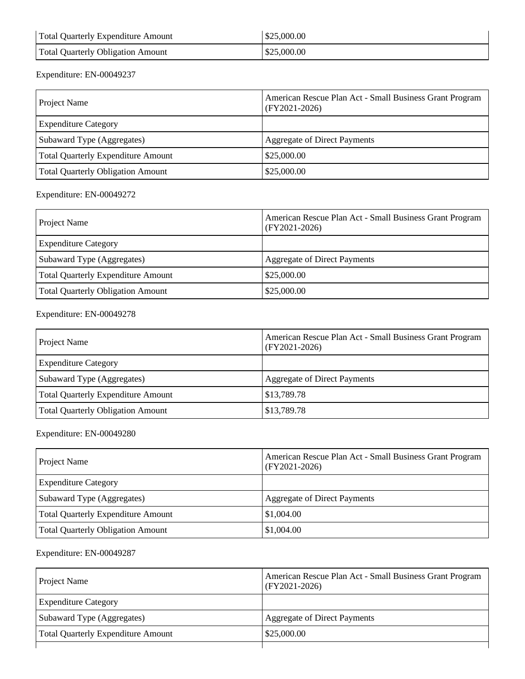| Total Quarterly Expenditure Amount       | \$25,000.00 |
|------------------------------------------|-------------|
| <b>Total Quarterly Obligation Amount</b> | \$25,000.00 |

### Expenditure: EN-00049237

| Project Name                              | American Rescue Plan Act - Small Business Grant Program<br>$(FY2021-2026)$ |
|-------------------------------------------|----------------------------------------------------------------------------|
| <b>Expenditure Category</b>               |                                                                            |
| Subaward Type (Aggregates)                | Aggregate of Direct Payments                                               |
| <b>Total Quarterly Expenditure Amount</b> | \$25,000.00                                                                |
| <b>Total Quarterly Obligation Amount</b>  | \$25,000.00                                                                |

### Expenditure: EN-00049272

| Project Name                              | American Rescue Plan Act - Small Business Grant Program<br>$(FY2021-2026)$ |
|-------------------------------------------|----------------------------------------------------------------------------|
| <b>Expenditure Category</b>               |                                                                            |
| Subaward Type (Aggregates)                | Aggregate of Direct Payments                                               |
| <b>Total Quarterly Expenditure Amount</b> | \$25,000.00                                                                |
| Total Quarterly Obligation Amount         | \$25,000.00                                                                |

### Expenditure: EN-00049278

| Project Name                              | American Rescue Plan Act - Small Business Grant Program<br>$ $ (FY2021-2026) |
|-------------------------------------------|------------------------------------------------------------------------------|
| <b>Expenditure Category</b>               |                                                                              |
| Subaward Type (Aggregates)                | Aggregate of Direct Payments                                                 |
| <b>Total Quarterly Expenditure Amount</b> | \$13,789.78                                                                  |
| <b>Total Quarterly Obligation Amount</b>  | \$13,789.78                                                                  |

#### Expenditure: EN-00049280

| <b>Project Name</b>                       | American Rescue Plan Act - Small Business Grant Program<br>$ $ (FY2021-2026) |
|-------------------------------------------|------------------------------------------------------------------------------|
| <b>Expenditure Category</b>               |                                                                              |
| Subaward Type (Aggregates)                | Aggregate of Direct Payments                                                 |
| <b>Total Quarterly Expenditure Amount</b> | \$1,004.00                                                                   |
| <b>Total Quarterly Obligation Amount</b>  | \$1,004.00                                                                   |

| <b>Project Name</b>                       | American Rescue Plan Act - Small Business Grant Program<br>$(FY2021-2026)$ |
|-------------------------------------------|----------------------------------------------------------------------------|
| <b>Expenditure Category</b>               |                                                                            |
| Subaward Type (Aggregates)                | <b>Aggregate of Direct Payments</b>                                        |
| <b>Total Quarterly Expenditure Amount</b> | \$25,000.00                                                                |
|                                           |                                                                            |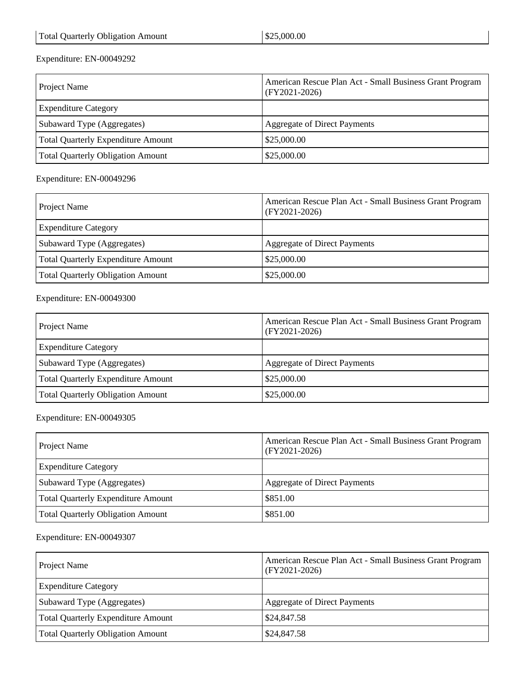### Expenditure: EN-00049292

| Project Name                              | American Rescue Plan Act - Small Business Grant Program<br>$(FY2021-2026)$ |
|-------------------------------------------|----------------------------------------------------------------------------|
| <b>Expenditure Category</b>               |                                                                            |
| Subaward Type (Aggregates)                | Aggregate of Direct Payments                                               |
| <b>Total Quarterly Expenditure Amount</b> | \$25,000.00                                                                |
| <b>Total Quarterly Obligation Amount</b>  | \$25,000.00                                                                |

#### Expenditure: EN-00049296

| Project Name                              | American Rescue Plan Act - Small Business Grant Program<br>$(FY2021-2026)$ |
|-------------------------------------------|----------------------------------------------------------------------------|
| <b>Expenditure Category</b>               |                                                                            |
| Subaward Type (Aggregates)                | Aggregate of Direct Payments                                               |
| <b>Total Quarterly Expenditure Amount</b> | \$25,000.00                                                                |
| <b>Total Quarterly Obligation Amount</b>  | \$25,000.00                                                                |

#### Expenditure: EN-00049300

| Project Name                              | American Rescue Plan Act - Small Business Grant Program<br>$(FY2021-2026)$ |
|-------------------------------------------|----------------------------------------------------------------------------|
| <b>Expenditure Category</b>               |                                                                            |
| Subaward Type (Aggregates)                | Aggregate of Direct Payments                                               |
| <b>Total Quarterly Expenditure Amount</b> | \$25,000.00                                                                |
| <b>Total Quarterly Obligation Amount</b>  | \$25,000.00                                                                |

#### Expenditure: EN-00049305

| Project Name                              | American Rescue Plan Act - Small Business Grant Program<br>$(FY2021-2026)$ |
|-------------------------------------------|----------------------------------------------------------------------------|
| <b>Expenditure Category</b>               |                                                                            |
| Subaward Type (Aggregates)                | <b>Aggregate of Direct Payments</b>                                        |
| <b>Total Quarterly Expenditure Amount</b> | \$851.00                                                                   |
| <b>Total Quarterly Obligation Amount</b>  | \$851.00                                                                   |

| Project Name                              | American Rescue Plan Act - Small Business Grant Program<br>$(FY2021-2026)$ |
|-------------------------------------------|----------------------------------------------------------------------------|
| <b>Expenditure Category</b>               |                                                                            |
| Subaward Type (Aggregates)                | Aggregate of Direct Payments                                               |
| <b>Total Quarterly Expenditure Amount</b> | \$24,847.58                                                                |
| <b>Total Quarterly Obligation Amount</b>  | \$24,847.58                                                                |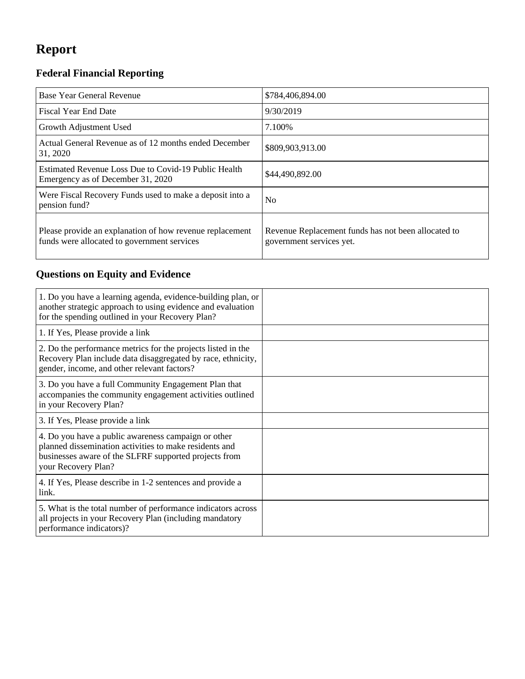# **Report**

## **Federal Financial Reporting**

| Base Year General Revenue                                                                               | \$784,406,894.00                                                                |
|---------------------------------------------------------------------------------------------------------|---------------------------------------------------------------------------------|
| <b>Fiscal Year End Date</b>                                                                             | 9/30/2019                                                                       |
| Growth Adjustment Used                                                                                  | 7.100%                                                                          |
| Actual General Revenue as of 12 months ended December<br>31, 2020                                       | \$809,903,913.00                                                                |
| Estimated Revenue Loss Due to Covid-19 Public Health<br>Emergency as of December 31, 2020               | \$44,490,892.00                                                                 |
| Were Fiscal Recovery Funds used to make a deposit into a<br>pension fund?                               | N <sub>0</sub>                                                                  |
| Please provide an explanation of how revenue replacement<br>funds were allocated to government services | Revenue Replacement funds has not been allocated to<br>government services yet. |

## **Questions on Equity and Evidence**

| 1. Do you have a learning agenda, evidence-building plan, or<br>another strategic approach to using evidence and evaluation<br>for the spending outlined in your Recovery Plan?               |  |
|-----------------------------------------------------------------------------------------------------------------------------------------------------------------------------------------------|--|
| 1. If Yes, Please provide a link                                                                                                                                                              |  |
| 2. Do the performance metrics for the projects listed in the<br>Recovery Plan include data disaggregated by race, ethnicity,<br>gender, income, and other relevant factors?                   |  |
| 3. Do you have a full Community Engagement Plan that<br>accompanies the community engagement activities outlined<br>in your Recovery Plan?                                                    |  |
| 3. If Yes, Please provide a link                                                                                                                                                              |  |
| 4. Do you have a public awareness campaign or other<br>planned dissemination activities to make residents and<br>businesses aware of the SLFRF supported projects from<br>your Recovery Plan? |  |
| 4. If Yes, Please describe in 1-2 sentences and provide a<br>link.                                                                                                                            |  |
| 5. What is the total number of performance indicators across<br>all projects in your Recovery Plan (including mandatory<br>performance indicators)?                                           |  |